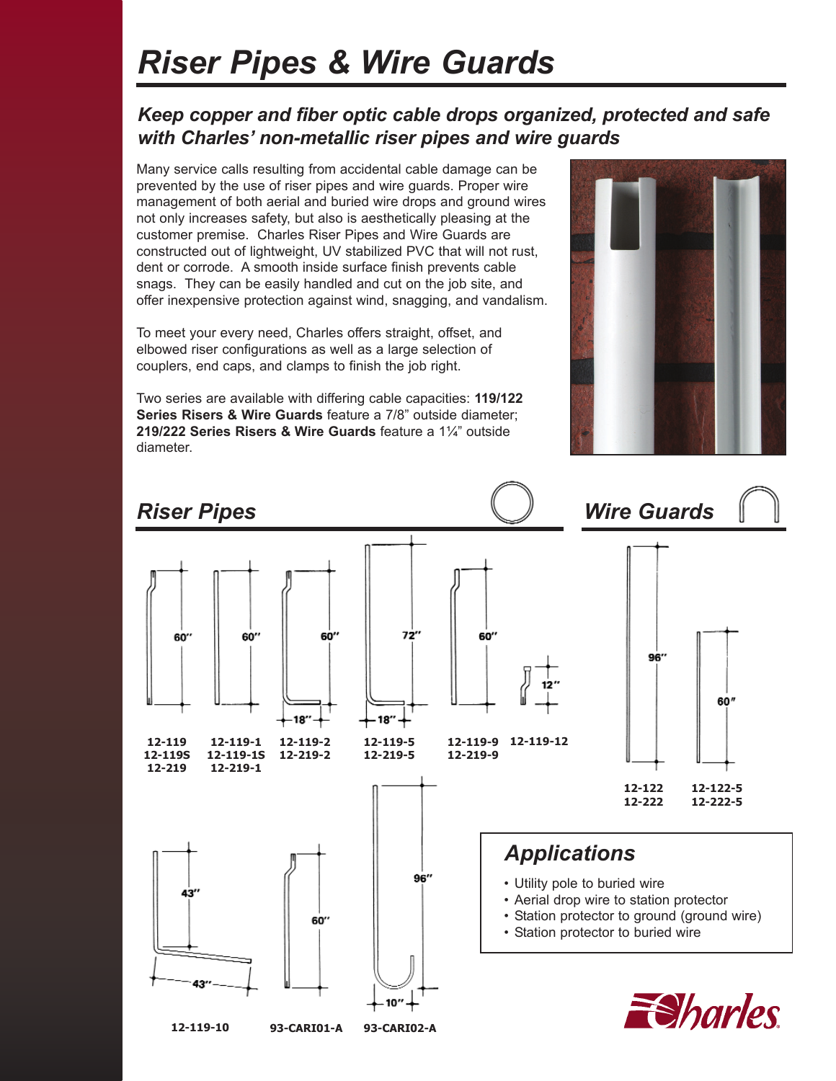# *Riser Pipes & Wire Guards*

#### *Keep copper and fiber optic cable drops organized, protected and safe with Charles' non-metallic riser pipes and wire guards*

Many service calls resulting from accidental cable damage can be prevented by the use of riser pipes and wire guards. Proper wire management of both aerial and buried wire drops and ground wires not only increases safety, but also is aesthetically pleasing at the customer premise. Charles Riser Pipes and Wire Guards are constructed out of lightweight, UV stabilized PVC that will not rust, dent or corrode. A smooth inside surface finish prevents cable snags. They can be easily handled and cut on the job site, and offer inexpensive protection against wind, snagging, and vandalism.

To meet your every need, Charles offers straight, offset, and elbowed riser configurations as well as a large selection of couplers, end caps, and clamps to finish the job right.

Two series are available with differing cable capacities: **119/122 Series Risers & Wire Guards** feature a 7/8" outside diameter; **219/222 Series Risers & Wire Guards** feature a 1¼" outside diameter.